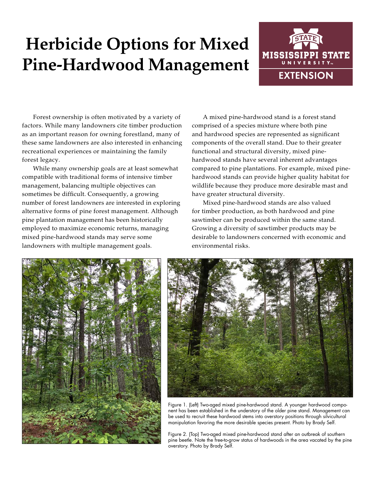# **Herbicide Options for Mixed Pine-Hardwood Management**



Forest ownership is often motivated by a variety of factors. While many landowners cite timber production as an important reason for owning forestland, many of these same landowners are also interested in enhancing recreational experiences or maintaining the family forest legacy.

While many ownership goals are at least somewhat compatible with traditional forms of intensive timber management, balancing multiple objectives can sometimes be difficult. Consequently, a growing number of forest landowners are interested in exploring alternative forms of pine forest management. Although pine plantation management has been historically employed to maximize economic returns, managing mixed pine-hardwood stands may serve some landowners with multiple management goals.

A mixed pine-hardwood stand is a forest stand comprised of a species mixture where both pine and hardwood species are represented as significant components of the overall stand. Due to their greater functional and structural diversity, mixed pinehardwood stands have several inherent advantages compared to pine plantations. For example, mixed pinehardwood stands can provide higher quality habitat for wildlife because they produce more desirable mast and have greater structural diversity.

Mixed pine-hardwood stands are also valued for timber production, as both hardwood and pine sawtimber can be produced within the same stand. Growing a diversity of sawtimber products may be desirable to landowners concerned with economic and environmental risks.





Figure 1. (Left) Two-aged mixed pine-hardwood stand. A younger hardwood component has been established in the understory of the older pine stand. Management can be used to recruit these hardwood stems into overstory positions through silvicultural manipulation favoring the more desirable species present. Photo by Brady Self.

Figure 2. (Top) Two-aged mixed pine-hardwood stand after an outbreak of southern pine beetle. Note the free-to-grow status of hardwoods in the area vacated by the pine overstory. Photo by Brady Self.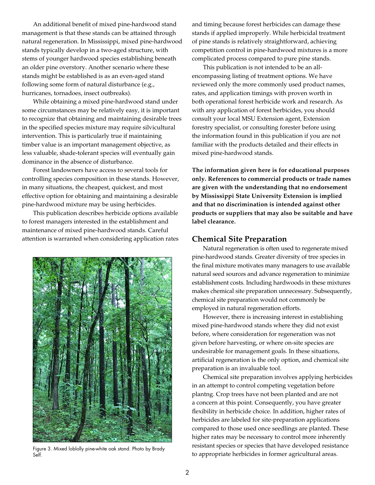An additional benefit of mixed pine-hardwood stand management is that these stands can be attained through natural regeneration. In Mississippi, mixed pine-hardwood stands typically develop in a two-aged structure, with stems of younger hardwood species establishing beneath an older pine overstory. Another scenario where these stands might be established is as an even-aged stand following some form of natural disturbance (e.g., hurricanes, tornadoes, insect outbreaks).

While obtaining a mixed pine-hardwood stand under some circumstances may be relatively easy, it is important to recognize that obtaining and maintaining desirable trees in the specified species mixture may require silvicultural intervention. This is particularly true if maintaining timber value is an important management objective, as less valuable, shade-tolerant species will eventually gain dominance in the absence of disturbance.

Forest landowners have access to several tools for controlling species composition in these stands. However, in many situations, the cheapest, quickest, and most effective option for obtaining and maintaining a desirable pine-hardwood mixture may be using herbicides.

This publication describes herbicide options available to forest managers interested in the establishment and maintenance of mixed pine-hardwood stands. Careful attention is warranted when considering application rates



Self.

and timing because forest herbicides can damage these stands if applied improperly. While herbicidal treatment of pine stands is relatively straightforward, achieving competition control in pine-hardwood mixtures is a more complicated process compared to pure pine stands.

This publication is not intended to be an allencompassing listing of treatment options. We have reviewed only the more commonly used product names, rates, and application timings with proven worth in both operational forest herbicide work and research. As with any application of forest herbicides, you should consult your local MSU Extension agent, Extension forestry specialist, or consulting forester before using the information found in this publication if you are not familiar with the products detailed and their effects in mixed pine-hardwood stands.

**The information given here is for educational purposes only. References to commercial products or trade names are given with the understanding that no endorsement by Mississippi State University Extension is implied and that no discrimination is intended against other products or suppliers that may also be suitable and have label clearance.** 

#### **Chemical Site Preparation**

Natural regeneration is often used to regenerate mixed pine-hardwood stands. Greater diversity of tree species in the final mixture motivates many managers to use available natural seed sources and advance regeneration to minimize establishment costs. Including hardwoods in these mixtures makes chemical site preparation unnecessary. Subsequently, chemical site preparation would not commonly be employed in natural regeneration efforts.

However, there is increasing interest in establishing mixed pine-hardwood stands where they did not exist before, where consideration for regeneration was not given before harvesting, or where on-site species are undesirable for management goals. In these situations, artificial regeneration is the only option, and chemical site preparation is an invaluable tool.

Chemical site preparation involves applying herbicides in an attempt to control competing vegetation before plantng. Crop trees have not been planted and are not a concern at this point. Consequently, you have greater flexibility in herbicide choice. In addition, higher rates of herbicides are labeled for site-preparation applications compared to those used once seedlings are planted. These higher rates may be necessary to control more inherently resistant species or species that have developed resistance Figure 3. Mixed loblolly pine-white oak stand. Photo by Brady<br>Self. Figure 3. Mixed loblolly pine-white oak stand. Photo by Brady<br>to appropriate herbicides in former agricultural areas.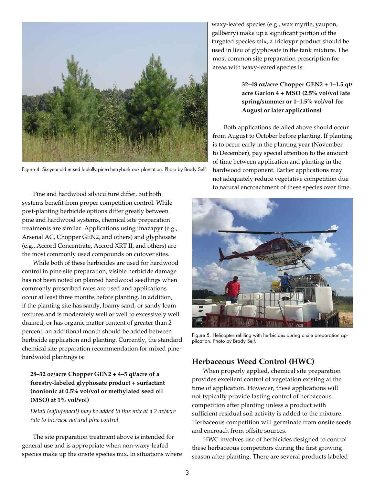

Figure 4. Six-year-old mixed loblolly pine-cherrybark oak plantation. Photo by Brady Self.

Pine and hardwood silviculture differ, but both systems benefit from proper competition control. While post-planting herbicide options differ greatly between pine and hardwood systems, chemical site preparation treatments are similar. Applications using imazapyr (e.g., Arsenal AC, Chopper GEN2, and others) and glyphosate (e.g., Accord Concentrate, Accord XRT II, and others) are the most commonly used compounds on cutover sites.

While both of these herbicides are used for hardwood control in pine site preparation, visible herbicide damage has not been noted on planted hardwood seedlings when commonly prescribed rates are used and applications occur at least three months before planting. In addition, if the planting site has sandy, loamy sand, or sandy loam textures and is moderately well or well to excessively well drained, or has organic matter content of greater than 2 percent, an additional month should be added between herbicide application and planting. Currently, the standard chemical site preparation recommendation for mixed pinehardwood plantings is:

## **28–32 oz/acre Chopper GEN2 + 4–5 qt/acre of a forestry-labeled glyphosate product + surfactant (nonionic at 0.5% vol/vol or methylated seed oil (MSO) at 1% vol/vol)**

*Detail (saflufenacil) may be added to this mix at a 2 oz/acre rate to increase natural pine control.*

The site preparation treatment above is intended for general use and is appropriate when non-waxy-leafed species make up the onsite species mix. In situations where waxy-leafed species (e.g., wax myrtle, yaupon, gallberry) make up a significant portion of the targeted species mix, a tricloypr product should be used in lieu of glyphosate in the tank mixture. The most common site preparation prescription for areas with waxy-leafed species is:

## **32–48 oz/acre Chopper GEN2 + 1–1.5 qt/ acre Garlon 4 + MSO (2.5% vol/vol late spring/summer or 1–1.5% vol/vol for August or later applications)**

Both applications detailed above should occur from August to October before planting. If planting is to occur early in the planting year (November to December), pay special attention to the amount of time between application and planting in the hardwood component. Earlier applications may not adequately reduce vegetative competition due to natural encroachment of these species over time.



Figure 5. Helicopter refilling with herbicides during a site preparation application. Photo by Brady Self.

# **Herbaceous Weed Control (HWC)**

When properly applied, chemical site preparation provides excellent control of vegetation existing at the time of application. However, these applications will not typically provide lasting control of herbaceous competition after planting unless a product with sufficient residual soil activity is added to the mixture. Herbaceous competition will germinate from onsite seeds and encroach from offsite sources.

HWC involves use of herbicides designed to control these herbaceous competitors during the first growing season after planting. There are several products labeled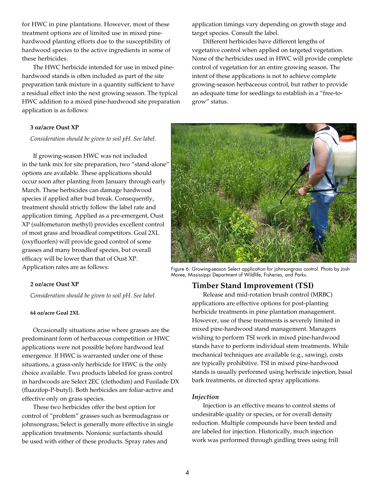for HWC in pine plantations. However, most of these treatment options are of limited use in mixed pinehardwood planting efforts due to the susceptibility of hardwood species to the active ingredients in some of these herbicides.

The HWC herbicide intended for use in mixed pinehardwood stands is often included as part of the site preparation tank mixture in a quantity sufficient to have a residual effect into the next growing season. The typical HWC addition to a mixed pine-hardwood site preparation application is as follows:

#### **3 oz/acre Oust XP**

*Consideration should be given to soil pH. See label.*

If growing-season HWC was not included in the tank mix for site preparation, two "stand-alone" options are available. These applications should occur soon after planting from January through early March. These herbicides can damage hardwood species if applied after bud break. Consequently, treatment should strictly follow the label rate and application timing. Applied as a pre-emergent, Oust XP (sulfometuron methyl) provides excellent control of most grass and broadleaf competitors. Goal 2XL (oxyfluorfen) will provide good control of some grasses and many broadleaf species, but overall efficacy will be lower than that of Oust XP. Application rates are as follows:

#### **2 oz/acre Oust XP**

*Consideration should be given to soil pH. See label.*

#### **64 oz/acre Goal 2XL**

Occasionally situations arise where grasses are the predominant form of herbaceous competition or HWC applications were not possible before hardwood leaf emergence. If HWC is warranted under one of these situations, a grass-only herbicide for HWC is the only choice available. Two products labeled for grass control in hardwoods are Select 2EC (clethodim) and Fusilade DX (fluazifop-P-butyl). Both herbicides are foliar-active and effective only on grass species.

These two herbicides offer the best option for control of "problem" grasses such as bermudagrass or johnsongrass; Select is generally more effective in single application treatments. Nonionic surfactants should be used with either of these products. Spray rates and

application timings vary depending on growth stage and target species. Consult the label.

Different herbicides have different lengths of vegetative control when applied on targeted vegetation. None of the herbicides used in HWC will provide complete control of vegetation for an entire growing season. The intent of these applications is not to achieve complete growing-season herbaceous control, but rather to provide an adequate time for seedlings to establish in a "free-togrow" status.



Figure 6. Growing-season Select application for johnsongrass control. Photo by Josh Moree, Mississippi Department of Wildlife, Fisheries, and Parks.

## **Timber Stand Improvement (TSI)**

Release and mid-rotation brush control (MRBC) applications are effective options for post-planting herbicide treatments in pine plantation management. However, use of these treatments is severely limited in mixed pine-hardwood stand management. Managers wishing to perform TSI work in mixed pine-hardwood stands have to perform individual stem treatments. While mechanical techniques are available (e.g., sawing), costs are typically prohibitive. TSI in mixed pine-hardwood stands is usually performed using herbicide injection, basal bark treatments, or directed spray applications.

#### *Injection*

Injection is an effective means to control stems of undesirable quality or species, or for overall density reduction. Multiple compounds have been tested and are labeled for injection. Historically, much injection work was performed through girdling trees using frill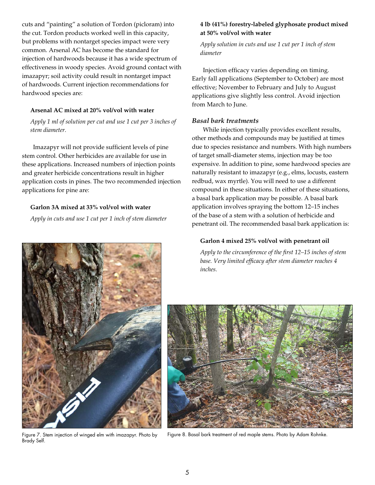cuts and "painting" a solution of Tordon (picloram) into the cut. Tordon products worked well in this capacity, but problems with nontarget species impact were very common. Arsenal AC has become the standard for injection of hardwoods because it has a wide spectrum of effectiveness in woody species. Avoid ground contact with imazapyr; soil activity could result in nontarget impact of hardwoods. Current injection recommendations for hardwood species are:

#### **Arsenal AC mixed at 20% vol/vol with water**

*Apply 1 ml of solution per cut and use 1 cut per 3 inches of stem diameter.*

Imazapyr will not provide sufficient levels of pine stem control. Other herbicides are available for use in these applications. Increased numbers of injection points and greater herbicide concentrations result in higher application costs in pines. The two recommended injection applications for pine are:

## **Garlon 3A mixed at 33% vol/vol with water**

*Apply in cuts and use 1 cut per 1 inch of stem diameter*

## **4 lb (41%) forestry-labeled glyphosate product mixed at 50% vol/vol with water**

*Apply solution in cuts and use 1 cut per 1 inch of stem diameter*

Injection efficacy varies depending on timing. Early fall applications (September to October) are most effective; November to February and July to August applications give slightly less control. Avoid injection from March to June.

## *Basal bark treatments*

While injection typically provides excellent results, other methods and compounds may be justified at times due to species resistance and numbers. With high numbers of target small-diameter stems, injection may be too expensive. In addition to pine, some hardwood species are naturally resistant to imazapyr (e.g., elms, locusts, eastern redbud, wax myrtle). You will need to use a different compound in these situations. In either of these situations, a basal bark application may be possible. A basal bark application involves spraying the bottom 12–15 inches of the base of a stem with a solution of herbicide and penetrant oil. The recommended basal bark application is:

## **Garlon 4 mixed 25% vol/vol with penetrant oil**

*Apply to the circumference of the first 12–15 inches of stem base. Very limited efficacy after stem diameter reaches 4 inches.*



Figure 7. Stem injection of winged elm with imazapyr. Photo by Brady Self.



Figure 8. Basal bark treatment of red maple stems. Photo by Adam Rohnke.